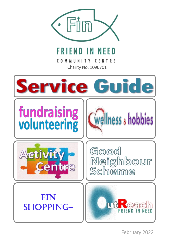

# **FRIEND IN NEED**

ſ Charity No. 1090701

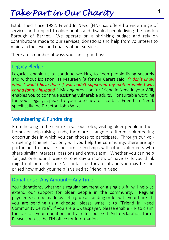## *Take Part in Our Charity*

Established since 1982, Friend In Need (FIN) has offered a wide range of services and support to older adults and disabled people living the London Borough of Barnet. We operate on a shrinking budget and rely on contributions made to our services, donations and help from volunteers to maintain the level and quality of our services.

There are a number of ways you can support us:

#### Legacy Pledge

Legacies enable us to continue working to keep people living securely and without isolation, as Maureen (a former Carer) said*, "I don't know what I would have done if you hadn't supported my mother while I was caring for my husband."* Making provision for Friend in Need in your Will, enables you to continue assisting vulnerable adults. For suitable wording for your legacy, speak to your attorney or contact Friend in Need, specifically the Director, John Wilks.

#### Volunteering & Fundraising

From helping in the centre in various roles, visiting older people in their homes or help raising funds, there are a range of different volunteering opportunities in which you can choose to participate. Through our volunteering scheme, not only will you help the community, there are opportunities to socialise and form friendships with other volunteers who share similar interests, passions and enthusiasm. Whether you can help for just one hour a week or one day a month; or have skills you think might not be useful to FIN, contact us for a chat and you may be surprised how much your help is valued at Friend in Need.

#### Donations :- Any Amount—Any Time

Your donations, whether a regular payment or a single gift, will help us extend our support for older people in the community. Regular payments can be made by setting up a standing order with your bank. If you are sending us a cheque, please write it to "Friend In Need Community Centre". If you are a UK taxpayer, please enable FIN to claim the tax on your donation and ask for our Gift Aid declaration form. Please contact the FIN office for information.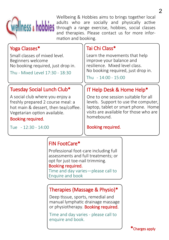

Wellbeing & Hobbies aims to brings together local<br>adults who are socially and physically active adults who are socially and physically active through a range exercise, hobbies, social classes and therapies. Please contact us for more information and booking.

| Yoga Classes*                                                                                                                                                                                                          | Tai Chi Class*                                                                                                                                                             |
|------------------------------------------------------------------------------------------------------------------------------------------------------------------------------------------------------------------------|----------------------------------------------------------------------------------------------------------------------------------------------------------------------------|
| Small classes of mixed level.<br>Beginners welcome<br>No booking required, just drop in.<br>Thu - Mixed Level 17:30 - 18:30                                                                                            | Learn the movements that help<br>improve your balance and<br>resilience. Mixed level class.<br>No booking required, just drop in.<br>Thu - 14:00 - 15:00                   |
|                                                                                                                                                                                                                        |                                                                                                                                                                            |
| Tuesday Social Lunch Club*                                                                                                                                                                                             | IT Help Desk & Home Help*                                                                                                                                                  |
| A social club where you enjoy a<br>freshly prepared 2 course meal: a<br>hot main & dessert, then tea/coffee.<br>Vegetarian option available.<br>Booking required.                                                      | One to one session suitable for all<br>levels. Support to use the computer,<br>laptop, tablet or smart phone. Home<br>visits are available for those who are<br>homebound. |
| Tue - 12:30 - 14:00                                                                                                                                                                                                    | Booking required.                                                                                                                                                          |
| <b>FIN FootCare*</b><br>Professional foot-care including full<br>assessments and full treatments; or<br>opt for just toe-nail trimming.<br>Booking required.<br>Time and day varies-please call to<br>Enquire and book |                                                                                                                                                                            |

#### Therapies (Massage & Physio)\*

Deep tissue, sports, remedial and manual lymphatic drainage massage or physiotherapy. Booking required.

Time and day varies - please call to enquire and book.

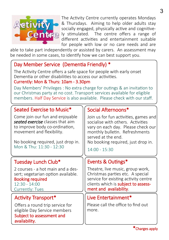

The Activity Centre currently operates Mondays & Thursdays. Aiming to help older adults stay socially engaged, physically active and cognitive-**Centre** ly stimulated. The centre offers a range of different activities and entertainment suitable for people with low or no care needs and are

able to take part independently or assisted by carers. An assessment may be needed in some cases, to identify how we can best support you.

#### Day Member Service (Dementia Friendly) \*

The Activity Centre offers a safe space for people with early onset Dementia or other disabilities to access our activities. Currently: Mon & Thurs: 10am - 3.30pm

 Day Members' Privileges : No extra charge for outings & an invitation to our Christmas party at no cost. Transport services available for eligible members. Half Day Service is also available. Please check with our staff.

#### Seated Exercise to Music\*

Come join our fun and enjoyable *seated exercise* classes that aim to improve body co-ordination, movement and flexibility.

No booking required, just drop in. Mon & Thu: 11:30 - 12:30

#### Tuesday Lunch Club\*

2 courses - a hot main and a dessert; vegetarian option available. Booking required  $12:30 - 14:00$ Currently: Tues

#### Activity Transport\*

Offers a round trip service for eligible Day Service members Subject to assessment and availability.

#### Social Afternoons\*

Join us for fun activities, games and socialise with others. Activities vary on each day. Please check our monthly bulletin. Refreshments served at the end. No booking required, just drop in.

 $14:00 - 15:30$ 

#### Events & Outings\*

Theatre, live music, group work, Christmas parties etc. A special service for existing activity centre clients which is **subject to assess**ment and availability.

#### Live Entertainment\*

Please call the office to find out more.

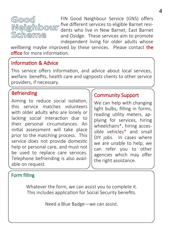# Good Scheme

FIN Good Neighbour Service (GNS) offers five different services to eligible Barnet residents who live in New Barnet, East Barnet and Osidge. These services aim to promote independent living for older adults whose

wellbeing maybe improved by these services. Please contact the office for more information.

#### Information & Advice

This service offers information, and advice about local services, welfare benefits, health care and signposts clients to other service providers, if necessary.

#### Befriending

Aiming to reduce social isolation, this service matches volunteers with older adults who are lonely or lacking social interaction due to their personal circumstances. An initial assessment will take place prior to the matching process. This service does not provide domestic help or personal care, and must not be used to replace care services. Telephone befriending is also available on request.

#### Community Support

We can help with changing light bulbs, filling in forms, reading utility meters, applying for services, hiring wheelchairs\*, hiring accessible vehicles\* and small DIY jobs. In cases where we are unable to help, we can refer you to other agencies which may offer the right assistance.

#### Form filling

Whatever the form, we can assist you to complete it. This includes application for Social Security benefits.

Need a Blue Badge—we can assist.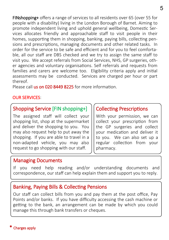FINshopping+ offers a range of services to all residents over 65 (over 55 for people with a disability) living in the London Borough of Barnet. Aiming to promote independent living and uphold general wellbeing, Domestic Services allocates friendly and approachable staff to visit people in their homes, supporting them in shopping, banking, paying bills, collecting pensions and prescriptions, managing documents and other related tasks. In order for the service to be safe and efficient and for you to feel comfortable, all our staff are DBS checked and we try to assign the same staff to visit you. We accept referrals from Social Services, NHS, GP surgeries, other agencies and voluntary organisations. Self referrals and requests from families and carers are welcome too. Eligibility criteria apply and initial assessments may be conducted. Services are charged per hour or part thereof.

Please call us on 020 8449 8225 for more information.

#### OUR SERVICES:

#### Shopping Service [FIN shopping+]

The assigned staff will collect your shopping list, shop at the supermarket and deliver the shopping to you. You may also request help to put away the shopping. If you are able to travel in a non-adapted vehicle, you may also request to go shopping with our staff.

#### Collecting Prescriptions

With your permission, we can collect your prescription from the GP surgeries and collect your medication and deliver it to you. We can also set up a regular collection from your pharmacy.

#### Managing Documents

If you need help reading and/or understanding documents and correspondence, our staff can help explain them and support you to reply.

#### Banking, Paying Bills & Collecting Pensions

Our staff can collect bills from you and pay them at the post office, Pay Points and/or banks. If you have difficulty accessing the cash machine or getting to the bank, an arrangement can be made by which you could manage this through bank transfers or cheques.

#### Charges apply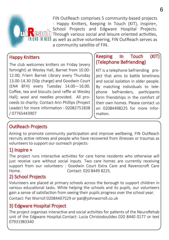

FIN OutReach comprises 5 community-based projects - Happy Knitters, Keeping In Touch (KIT), Inspire+, School Projects and Edgware Hospital Projects.  $\mathbb{R}$   $\mathbb{C}$  in Through various social and leisure oriented activities. FRIEND IN NEED as well as active volunteering, FIN OutReach serves as a community satellite of FIN.

#### Happy Knitters

The club welcomes knitters on Friday (every fortnight) at Wesley Hall, Barnet from 10.00- 12.00; Friern Barnet Library every Thursday 13.00-14.30 (50p charge) and Goodwin Court (EN4 8FH) every Tuesday 14.00—16.00. Coffee, tea and biscuits (and raffle at Wesley Hall); wool and needles provided. All proceeds to charity. Contact Ann Phillips (Project Leader) for more information : 02082751838 / 07765443907

#### Keeping In Touch (KIT) (Telephone Befriending)

KIT is a telephone befriending project that aims to battle loneliness and social isolation in older people. By matching individuals to telephone befrienders, participants form friendships in the comfort of their own homes. Please contact us on 02084498225 for more information.

### OutReach Projects

Aiming to promote community participation and improve wellbeing, FIN OutReach recruits active retirees and people who have recovered from illnesses or traumas as volunteers to support our outreach projects:

#### 1) Inspire +

The project runs interactive activities for care home residents who otherwise will just receive care without social inputs. Two care homes are currently receiving support from our volunteers : Goodwin Court Extra Care and Ravenscroft Care Home. Contact: 020 8449 8225.

#### 2) School Projects

Volunteers are placed at primary schools across the borough to support children in various educational tasks. While helping the schools and its pupils, our volunteers gain a sense of satisfaction from seeing their pupils progress over the school year.

Contact: Pat Worroll 02084407529 or pat@johnworroll.co.uk

#### 3) Edgware Hospital Project

The project organises interactive and social activities for patients of the NeuroRehab unit of the Edgware Hospital.Contact: Lucia Christodoulides 020 8440 0177 or text 07931983340